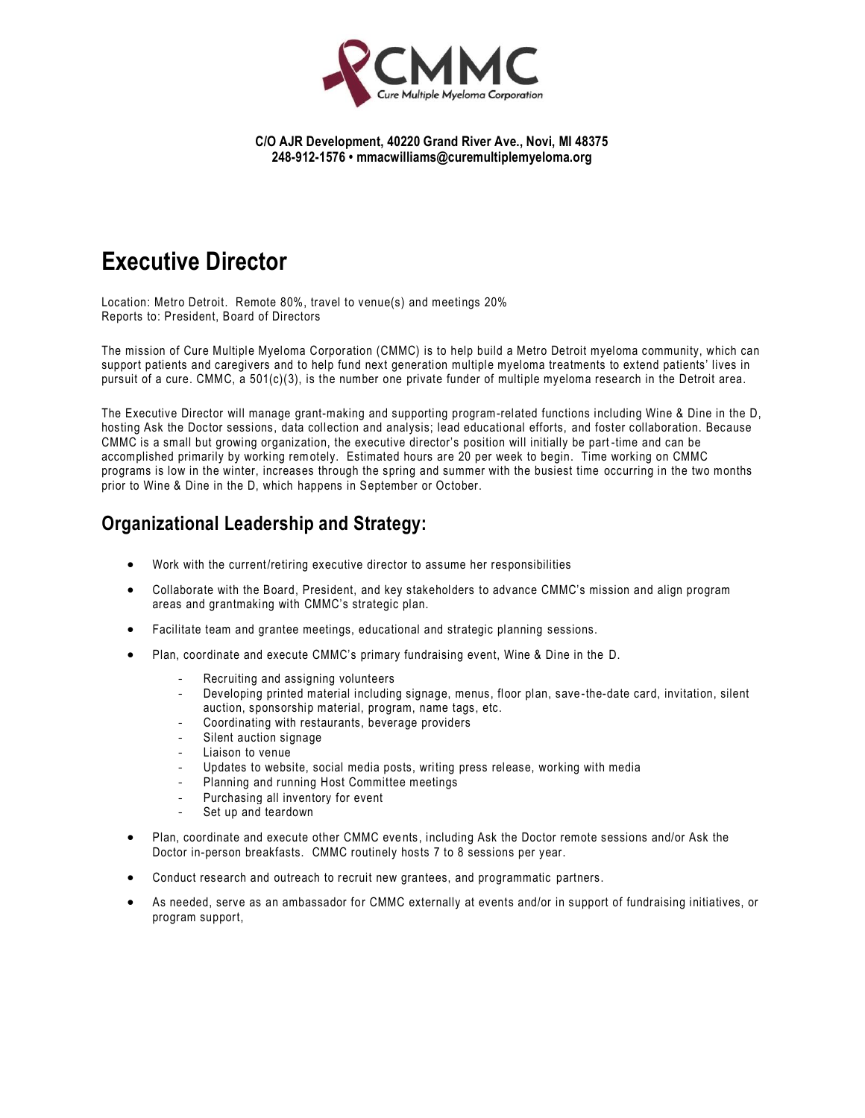

#### **C/O AJR Development, 40220 Grand River Ave., Novi, MI 48375 248-912-1576 • mmacwilliams@curemultiplemyeloma.org**

# **Executive Director**

Location: Metro Detroit. Remote 80%, travel to venue(s) and meetings 20% Reports to: President, Board of Directors

The mission of Cure Multiple Myeloma Corporation (CMMC) is to help build a Metro Detroit myeloma community, which can support patients and caregivers and to help fund next generation multiple myeloma treatments to extend patients' lives in pursuit of a cure. CMMC, a 501(c)(3), is the number one private funder of multiple myeloma research in the Detroit area.

The Executive Director will manage grant-making and supporting program-related functions including Wine & Dine in the D, hosting Ask the Doctor sessions, data collection and analysis; lead educational efforts, and foster collaboration. Because CMMC is a small but growing organization, the executive director's position will initially be part -time and can be accomplished primarily by working remotely. Estimated hours are 20 per week to begin. Time working on CMMC programs is low in the winter, increases through the spring and summer with the busiest time occurring in the two months prior to Wine & Dine in the D, which happens in September or October.

## **Organizational Leadership and Strategy:**

- Work with the current/retiring executive director to assume her responsibilities
- Collaborate with the Board, President, and key stakeholders to advance CMMC's mission and align program areas and grantmaking with CMMC's strategic plan.
- Facilitate team and grantee meetings, educational and strategic planning sessions.
- Plan, coordinate and execute CMMC's primary fundraising event, Wine & Dine in the D.
	- Recruiting and assigning volunteers
	- Developing printed material including signage, menus, floor plan, save -the-date card, invitation, silent auction, sponsorship material, program, name tags, etc.
	- Coordinating with restaurants, beverage providers
	- Silent auction signage
	- Liaison to venue
	- Updates to website, social media posts, writing press release, working with media
	- Planning and running Host Committee meetings
	- Purchasing all inventory for event
	- Set up and teardown
- Plan, coordinate and execute other CMMC events, including Ask the Doctor remote sessions and/or Ask the Doctor in-person breakfasts. CMMC routinely hosts 7 to 8 sessions per year.
- Conduct research and outreach to recruit new grantees, and programmatic partners.
- As needed, serve as an ambassador for CMMC externally at events and/or in support of fundraising initiatives, or program support,